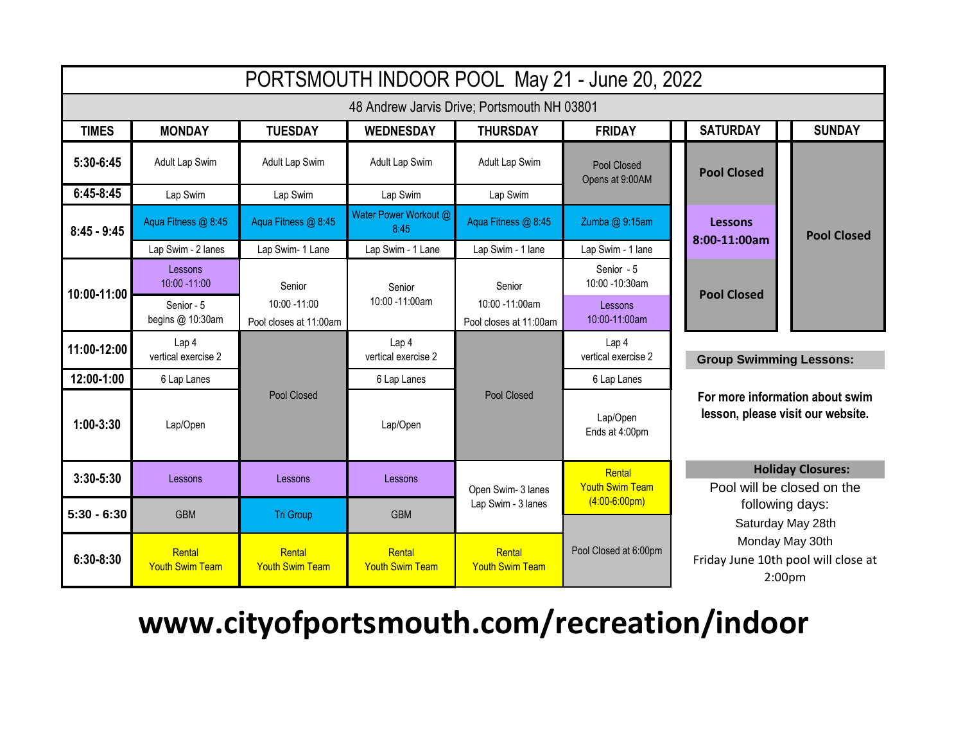| PORTSMOUTH INDOOR POOL May 21 - June 20, 2022 |                                         |                                           |                                         |                                          |                                         |                                                                                                                                                                                |                    |  |
|-----------------------------------------------|-----------------------------------------|-------------------------------------------|-----------------------------------------|------------------------------------------|-----------------------------------------|--------------------------------------------------------------------------------------------------------------------------------------------------------------------------------|--------------------|--|
| 48 Andrew Jarvis Drive; Portsmouth NH 03801   |                                         |                                           |                                         |                                          |                                         |                                                                                                                                                                                |                    |  |
| <b>TIMES</b>                                  | <b>MONDAY</b>                           | <b>TUESDAY</b>                            | <b>WEDNESDAY</b>                        | <b>THURSDAY</b>                          | <b>FRIDAY</b>                           | <b>SATURDAY</b>                                                                                                                                                                | <b>SUNDAY</b>      |  |
| 5:30-6:45                                     | Adult Lap Swim                          | Adult Lap Swim                            | Adult Lap Swim                          | Adult Lap Swim                           | Pool Closed<br>Opens at 9:00AM          | <b>Pool Closed</b>                                                                                                                                                             |                    |  |
| $6:45-8:45$                                   | Lap Swim                                | Lap Swim                                  | Lap Swim                                | Lap Swim                                 |                                         |                                                                                                                                                                                |                    |  |
| $8:45 - 9:45$                                 | Aqua Fitness @ 8:45                     | Aqua Fitness @ 8:45                       | Water Power Workout @<br>8:45           | Aqua Fitness @ 8:45                      | Zumba @ 9:15am                          | Lessons<br>8:00-11:00am                                                                                                                                                        | <b>Pool Closed</b> |  |
|                                               | Lap Swim - 2 lanes                      | Lap Swim- 1 Lane                          | Lap Swim - 1 Lane                       | Lap Swim - 1 lane                        | Lap Swim - 1 lane                       |                                                                                                                                                                                |                    |  |
| 10:00-11:00                                   | Lessons<br>10:00 -11:00                 | Senior                                    | Senior                                  | Senior                                   | Senior - 5<br>10:00 -10:30am            | <b>Pool Closed</b>                                                                                                                                                             |                    |  |
|                                               | Senior - 5<br>begins @ 10:30am          | $10:00 - 11:00$<br>Pool closes at 11:00am | 10:00 -11:00am                          | 10:00 -11:00am<br>Pool closes at 11:00am | Lessons<br>10:00-11:00am                |                                                                                                                                                                                |                    |  |
| 11:00-12:00                                   | Lap <sub>4</sub><br>vertical exercise 2 |                                           | Lap <sub>4</sub><br>vertical exercise 2 | <b>Pool Closed</b>                       | Lap <sub>4</sub><br>vertical exercise 2 | <b>Group Swimming Lessons:</b><br>For more information about swim<br>lesson, please visit our website.                                                                         |                    |  |
| 12:00-1:00                                    | 6 Lap Lanes                             |                                           | 6 Lap Lanes                             |                                          | 6 Lap Lanes                             |                                                                                                                                                                                |                    |  |
| $1:00-3:30$                                   | Lap/Open                                | <b>Pool Closed</b>                        | Lap/Open                                |                                          | Lap/Open<br>Ends at 4:00pm              |                                                                                                                                                                                |                    |  |
| $3:30 - 5:30$                                 | Lessons                                 | Lessons                                   | Lessons                                 | Open Swim- 3 lanes                       | Rental<br><b>Youth Swim Team</b>        | <b>Holiday Closures:</b><br>Pool will be closed on the<br>following days:<br>Saturday May 28th<br>Monday May 30th<br>Friday June 10th pool will close at<br>2:00 <sub>pm</sub> |                    |  |
| $5:30 - 6:30$                                 | <b>GBM</b>                              | <b>Tri Group</b>                          | <b>GBM</b>                              | Lap Swim - 3 lanes                       | $(4:00-6:00pm)$                         |                                                                                                                                                                                |                    |  |
| $6:30-8:30$                                   | Rental<br><b>Youth Swim Team</b>        | Rental<br><b>Youth Swim Team</b>          | Rental<br><b>Youth Swim Team</b>        | Rental<br><b>Youth Swim Team</b>         | Pool Closed at 6:00pm                   |                                                                                                                                                                                |                    |  |

## **www.cityofportsmouth.com/recreation/indoor**